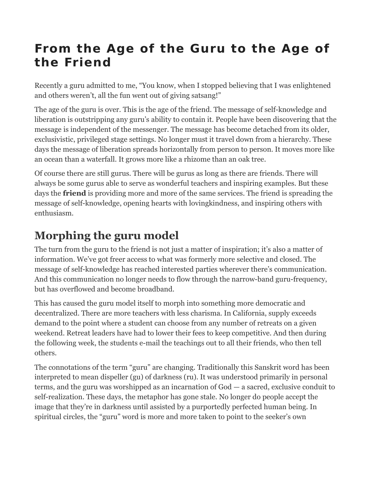# **From the Age of the Guru to the Age of the Friend**

Recently a guru admitted to me, "You know, when I stopped believing that I was enlightened and others weren't, all the fun went out of giving satsang!"

The age of the guru is over. This is the age of the friend. The message of self-knowledge and liberation is outstripping any guru's ability to contain it. People have been discovering that the message is independent of the messenger. The message has become detached from its older, exclusivistic, privileged stage settings. No longer must it travel down from a hierarchy. These days the message of liberation spreads horizontally from person to person. It moves more like an ocean than a waterfall. It grows more like a rhizome than an oak tree.

Of course there are still gurus. There will be gurus as long as there are friends. There will always be some gurus able to serve as wonderful teachers and inspiring examples. But these days the **friend** is providing more and more of the same services. The friend is spreading the message of self-knowledge, opening hearts with lovingkindness, and inspiring others with enthusiasm.

## **Morphing the guru model**

The turn from the guru to the friend is not just a matter of inspiration; it's also a matter of information. We've got freer access to what was formerly more selective and closed. The message of self-knowledge has reached interested parties wherever there's communication. And this communication no longer needs to flow through the narrow-band guru-frequency, but has overflowed and become broadband.

This has caused the guru model itself to morph into something more democratic and decentralized. There are more teachers with less charisma. In California, supply exceeds demand to the point where a student can choose from any number of retreats on a given weekend. Retreat leaders have had to lower their fees to keep competitive. And then during the following week, the students e-mail the teachings out to all their friends, who then tell others.

The connotations of the term "guru" are changing. Traditionally this Sanskrit word has been interpreted to mean dispeller (gu) of darkness (ru). It was understood primarily in personal terms, and the guru was worshipped as an incarnation of God — a sacred, exclusive conduit to self-realization. These days, the metaphor has gone stale. No longer do people accept the image that they're in darkness until assisted by a purportedly perfected human being. In spiritual circles, the "guru" word is more and more taken to point to the seeker's own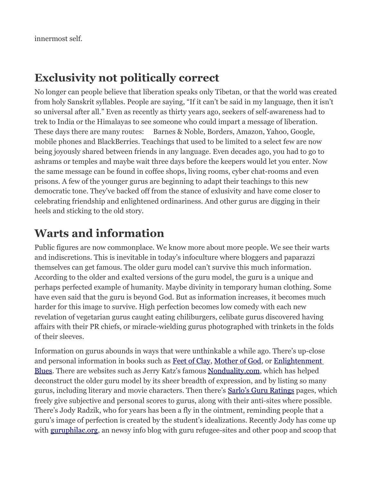## **Exclusivity not politically correct**

No longer can people believe that liberation speaks only Tibetan, or that the world was created from holy Sanskrit syllables. People are saying, "If it can't be said in my language, then it isn't so universal after all." Even as recently as thirty years ago, seekers of self-awareness had to trek to India or the Himalayas to see someone who could impart a message of liberation. These days there are many routes: Barnes & Noble, Borders, Amazon, Yahoo, Google, mobile phones and BlackBerries. Teachings that used to be limited to a select few are now being joyously shared between friends in any language. Even decades ago, you had to go to ashrams or temples and maybe wait three days before the keepers would let you enter. Now the same message can be found in coffee shops, living rooms, cyber chat-rooms and even prisons. A few of the younger gurus are beginning to adapt their teachings to this new democratic tone. They've backed off from the stance of exlusivity and have come closer to celebrating friendship and enlightened ordinariness. And other gurus are digging in their heels and sticking to the old story.

### **Warts and information**

Public figures are now commonplace. We know more about more people. We see their warts and indiscretions. This is inevitable in today's infoculture where bloggers and paparazzi themselves can get famous. The older guru model can't survive this much information. According to the older and exalted versions of the guru model, the guru is a unique and perhaps perfected example of humanity. Maybe divinity in temporary human clothing. Some have even said that the guru is beyond God. But as information increases, it becomes much harder for this image to survive. High perfection becomes low comedy with each new revelation of vegetarian gurus caught eating chiliburgers, celibate gurus discovered having affairs with their PR chiefs, or miracle-wielding gurus photographed with trinkets in the folds of their sleeves.

Information on gurus abounds in ways that were unthinkable a while ago. There's up-close and personal information in books such as [Feet of Clay,](http://www.amazon.com/exec/obidos/redirect?tag=greggoodephil-20&path=tg/detail/-/0684834952/qid=1111951876/sr=1-3/ref=sr_1_3?v=glance&s=books) [Mother of God,](http://www.amazon.com/exec/obidos/redirect?tag=greggoodephil-20&path=tg/detail/-/1570270430/ref=pd_sim_b_1?v=glance) or [Enlightenment](http://www.amazon.com/exec/obidos/redirect?tag=greggoodephil-20&path=tg/detail/-/0972635718/qid=1111952354/sr=1-2/ref=sr_1_2?v=glance&s=books)  [Blues.](http://www.amazon.com/exec/obidos/redirect?tag=greggoodephil-20&path=tg/detail/-/0972635718/qid=1111952354/sr=1-2/ref=sr_1_2?v=glance&s=books) There are websites such as Jerry Katz's famous [Nonduality.com,](http://nonduality.com/) which has helped deconstruct the older guru model by its sheer breadth of expression, and by listing so many gurus, including literary and movie characters. Then there's **[Sarlo's Guru Ratings](http://www.globalserve.net/~sarlo/Ratings.htm)** pages, which freely give subjective and personal scores to gurus, along with their anti-sites where possible. There's Jody Radzik, who for years has been a fly in the ointment, reminding people that a guru's image of perfection is created by the student's idealizations. Recently Jody has come up with [guruphilac.org,](http://www.guruphiliac.org/) an newsy info blog with guru refugee-sites and other poop and scoop that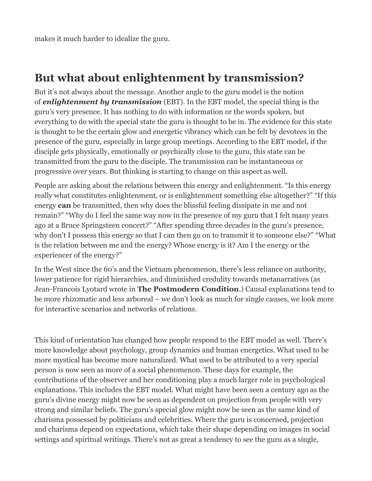makes it much harder to idealize the guru.

### **But what about enlightenment by transmission?**

But it's not always about the message. Another angle to the guru model is the notion of *enlightenment by transmission* (EBT). In the EBT model, the special thing is the guru's very presence. It has nothing to do with information or the words spoken, but everything to do with the special state the guru is thought to be in. The evidence for this state is thought to be the certain glow and energetic vibrancy which can be felt by devotees in the presence of the guru, especially in large group meetings. According to the EBT model, if the disciple gets physically, emotionally or psychically close to the guru, this state can be transmitted from the guru to the disciple. The transmission can be instantaneous or progressive over years. But thinking is starting to change on this aspect as well.

People are asking about the relations between this energy and enlightenment. "Is this energy really what constitutes enlightenment, or is enlightenment something else altogether?" "If this energy **can** be transmitted, then why does the blissful feeling dissipate in me and not remain?" "Why do I feel the same way now in the presence of my guru that I felt many years ago at a Bruce Springsteen concert?" "After spending three decades in the guru's presence, why don't I possess this energy so that I can then go on to transmit it to someone else?" "What is the relation between me and the energy? Whose energy is it? Am I the energy or the experiencer of the energy?"

In the West since the 60's and the Vietnam phenomenon, there's less reliance on authority, lower patience for rigid hierarchies, and diminished credulity towards metanarratives (as Jean-Francois Lyotard wrote in **The Postmodern Condition**.) Causal explanations tend to be more rhizomatic and less arboreal – we don't look as much for single causes, we look more for interactive scenarios and networks of relations.

This kind of orientation has changed how people respond to the EBT model as well. There's more knowledge about psychology, group dynamics and human energetics. What used to be more mystical has become more naturalized. What used to be attributed to a very special person is now seen as more of a social phenomenon. These days for example, the contributions of the observer and her conditioning play a much larger role in psychological explanations. This includes the EBT model. What might have been seen a century ago as the guru's divine energy might now be seen as dependent on projection from people with very strong and similar beliefs. The guru's special glow might now be seen as the same kind of charisma possessed by politicians and celebrities. Where the guru is concerned, projection and charisma depend on expectations, which take their shape depending on images in social settings and spiritual writings. There's not as great a tendency to see the guru as a single,